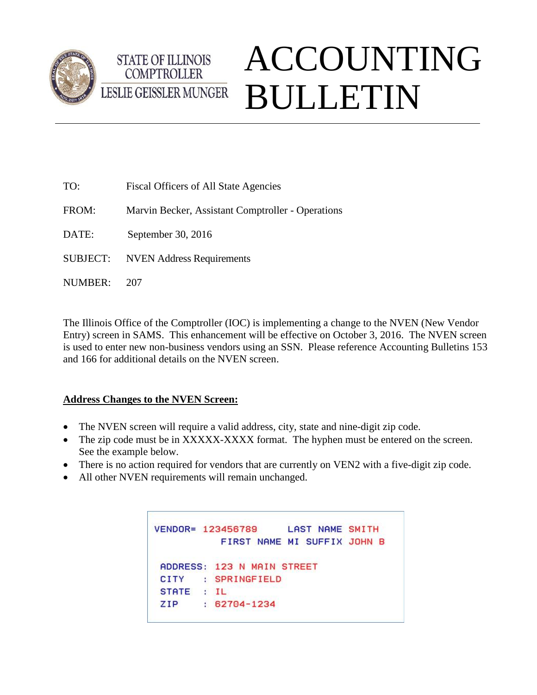

## ACCOUNTING BULLETIN LESLIE GEISSLER MUNGER

| TO:             | Fiscal Officers of All State Agencies             |
|-----------------|---------------------------------------------------|
| FROM:           | Marvin Becker, Assistant Comptroller - Operations |
| DATE:           | September 30, 2016                                |
| <b>SUBJECT:</b> | <b>NVEN</b> Address Requirements                  |
| NUMBER:         | 207                                               |

**STATE OF ILLINOIS COMPTROLLER** 

The Illinois Office of the Comptroller (IOC) is implementing a change to the NVEN (New Vendor Entry) screen in SAMS. This enhancement will be effective on October 3, 2016. The NVEN screen is used to enter new non-business vendors using an SSN. Please reference Accounting Bulletins 153 and 166 for additional details on the NVEN screen.

## **Address Changes to the NVEN Screen:**

- The NVEN screen will require a valid address, city, state and nine-digit zip code.
- The zip code must be in XXXXX-XXXX format. The hyphen must be entered on the screen. See the example below.
- There is no action required for vendors that are currently on VEN2 with a five-digit zip code.
- All other NVEN requirements will remain unchanged.